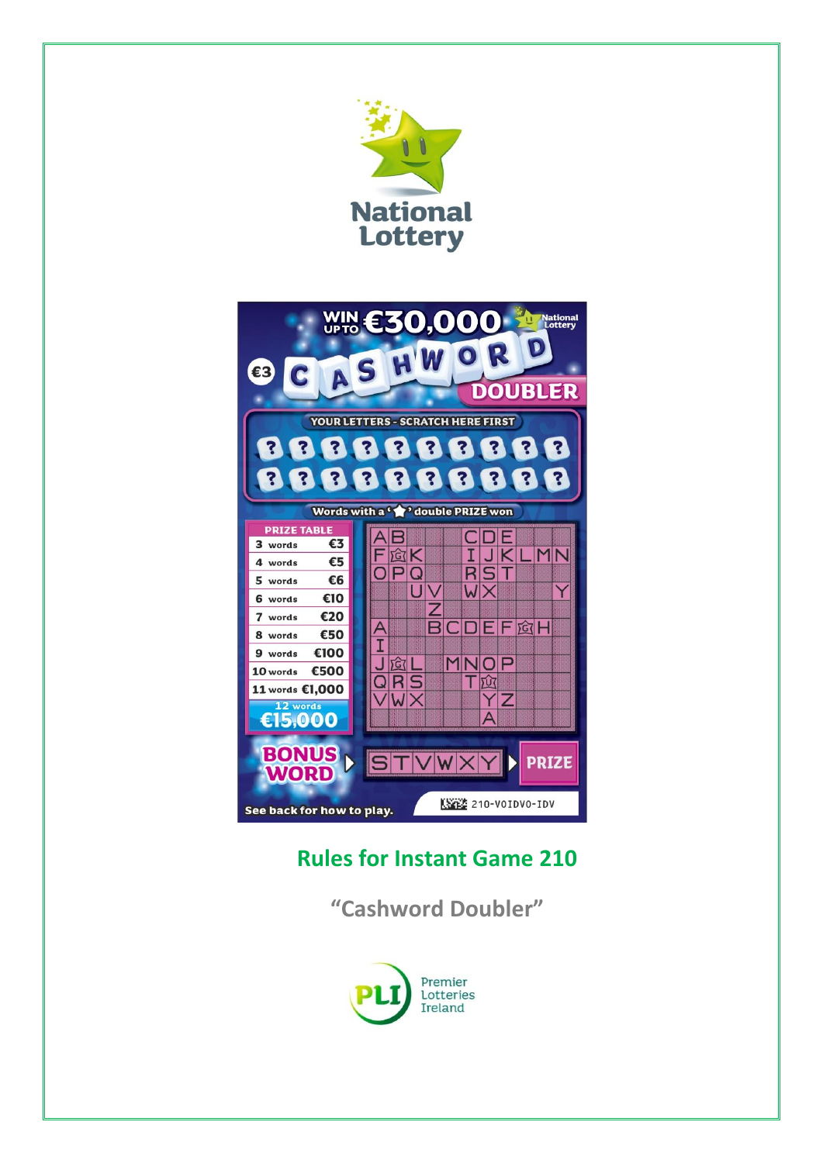



# **Rules for Instant Game 210**

**"Cashword Doubler"**

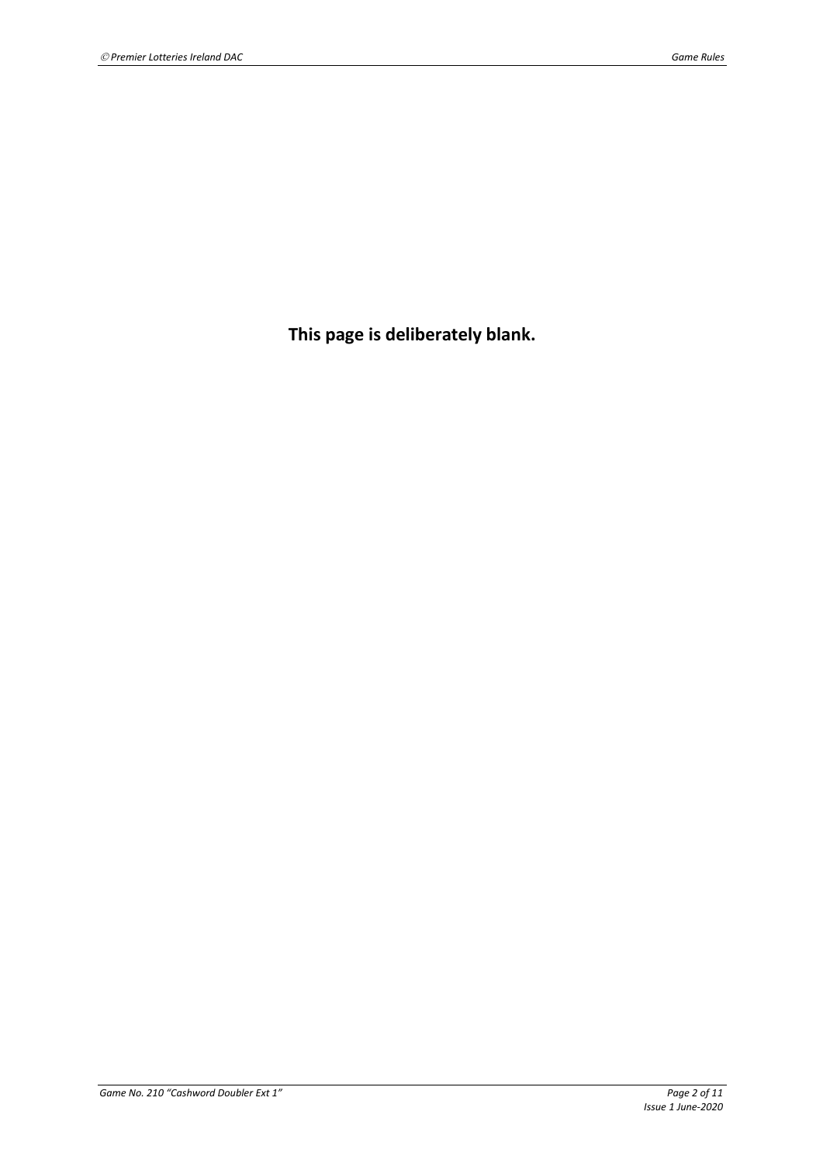**This page is deliberately blank.**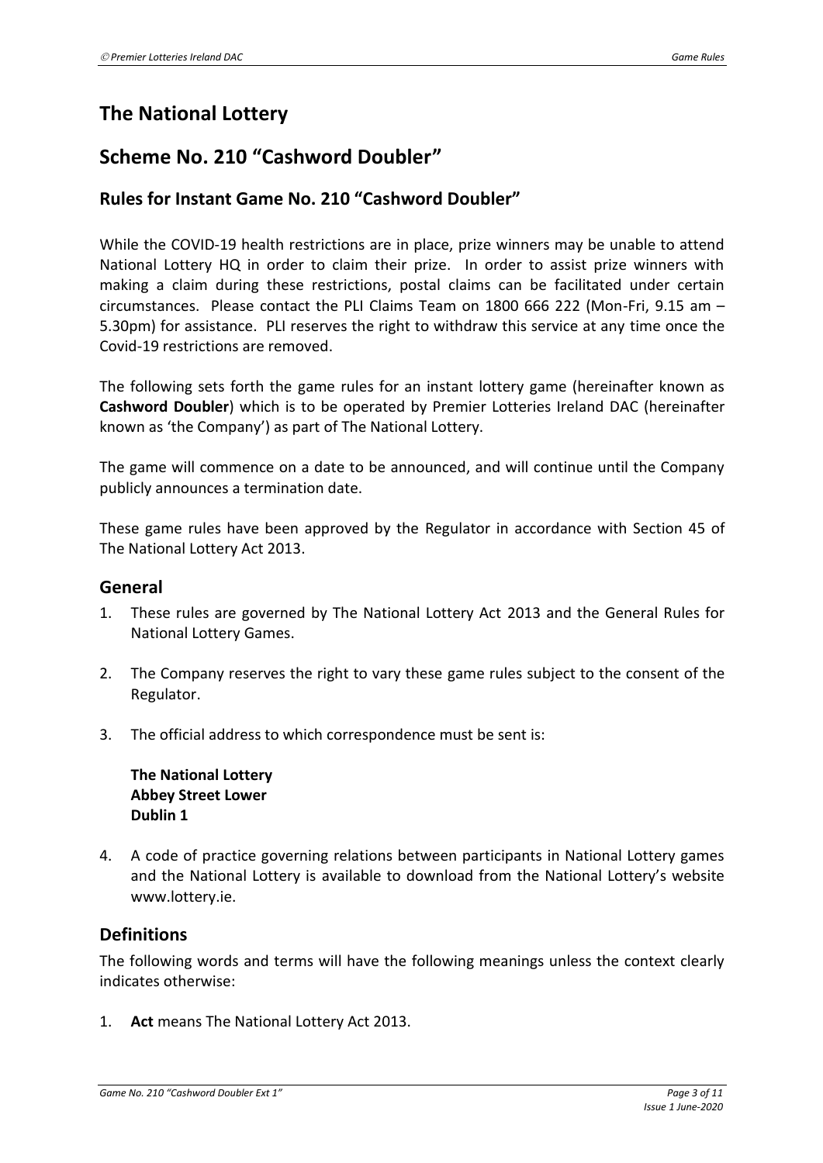# **The National Lottery**

# **Scheme No. 210 "Cashword Doubler"**

### **Rules for Instant Game No. 210 "Cashword Doubler"**

While the COVID-19 health restrictions are in place, prize winners may be unable to attend National Lottery HQ in order to claim their prize. In order to assist prize winners with making a claim during these restrictions, postal claims can be facilitated under certain circumstances. Please contact the PLI Claims Team on 1800 666 222 (Mon-Fri, 9.15 am – 5.30pm) for assistance. PLI reserves the right to withdraw this service at any time once the Covid-19 restrictions are removed.

The following sets forth the game rules for an instant lottery game (hereinafter known as **Cashword Doubler**) which is to be operated by Premier Lotteries Ireland DAC (hereinafter known as 'the Company') as part of The National Lottery.

The game will commence on a date to be announced, and will continue until the Company publicly announces a termination date.

These game rules have been approved by the Regulator in accordance with Section 45 of The National Lottery Act 2013.

#### **General**

- 1. These rules are governed by The National Lottery Act 2013 and the General Rules for National Lottery Games.
- 2. The Company reserves the right to vary these game rules subject to the consent of the Regulator.
- 3. The official address to which correspondence must be sent is:

**The National Lottery Abbey Street Lower Dublin 1**

4. A code of practice governing relations between participants in National Lottery games and the National Lottery is available to download from the National Lottery's website www.lottery.ie.

#### **Definitions**

The following words and terms will have the following meanings unless the context clearly indicates otherwise:

1. **Act** means The National Lottery Act 2013.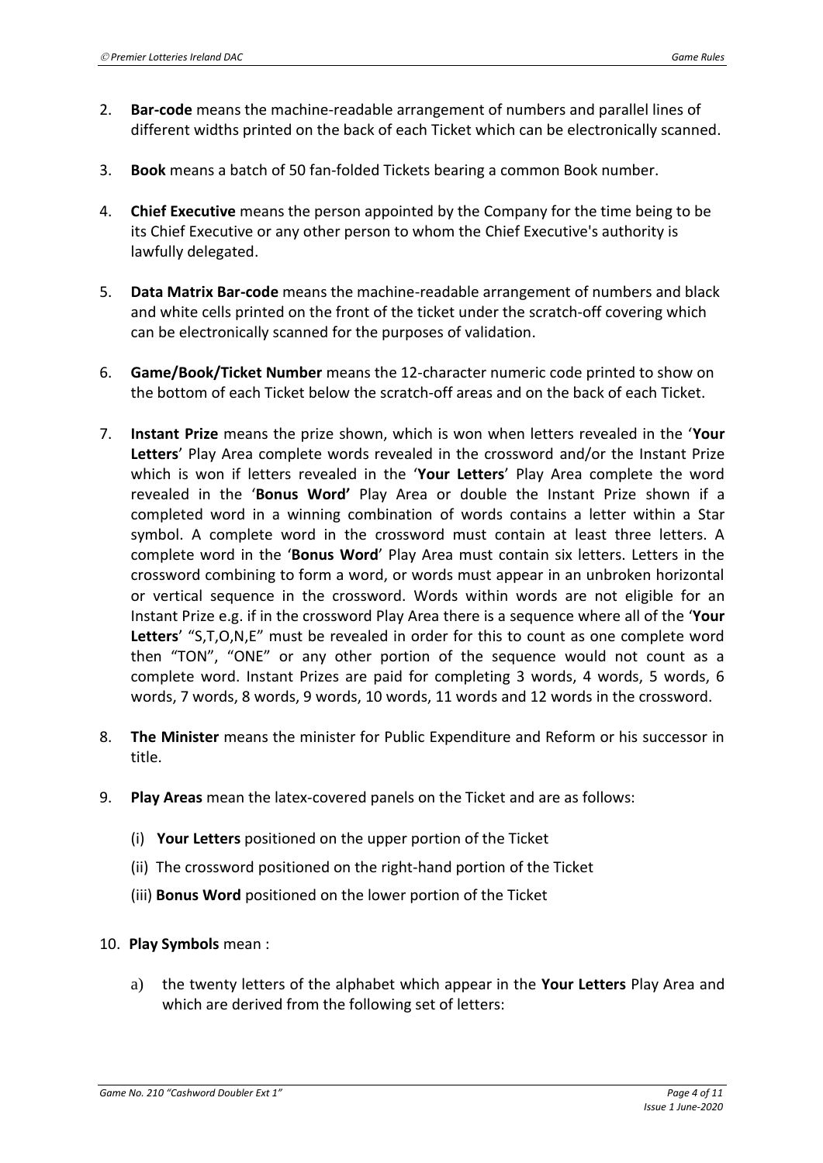- 2. **Bar-code** means the machine-readable arrangement of numbers and parallel lines of different widths printed on the back of each Ticket which can be electronically scanned.
- 3. **Book** means a batch of 50 fan-folded Tickets bearing a common Book number.
- 4. **Chief Executive** means the person appointed by the Company for the time being to be its Chief Executive or any other person to whom the Chief Executive's authority is lawfully delegated.
- 5. **Data Matrix Bar-code** means the machine-readable arrangement of numbers and black and white cells printed on the front of the ticket under the scratch-off covering which can be electronically scanned for the purposes of validation.
- 6. **Game/Book/Ticket Number** means the 12-character numeric code printed to show on the bottom of each Ticket below the scratch-off areas and on the back of each Ticket.
- 7. **Instant Prize** means the prize shown, which is won when letters revealed in the '**Your Letters**' Play Area complete words revealed in the crossword and/or the Instant Prize which is won if letters revealed in the '**Your Letters**' Play Area complete the word revealed in the '**Bonus Word'** Play Area or double the Instant Prize shown if a completed word in a winning combination of words contains a letter within a Star symbol. A complete word in the crossword must contain at least three letters. A complete word in the '**Bonus Word**' Play Area must contain six letters. Letters in the crossword combining to form a word, or words must appear in an unbroken horizontal or vertical sequence in the crossword. Words within words are not eligible for an Instant Prize e.g. if in the crossword Play Area there is a sequence where all of the '**Your Letters**' "S,T,O,N,E" must be revealed in order for this to count as one complete word then "TON", "ONE" or any other portion of the sequence would not count as a complete word. Instant Prizes are paid for completing 3 words, 4 words, 5 words, 6 words, 7 words, 8 words, 9 words, 10 words, 11 words and 12 words in the crossword.
- 8. **The Minister** means the minister for Public Expenditure and Reform or his successor in title.
- 9. **Play Areas** mean the latex-covered panels on the Ticket and are as follows:
	- (i) **Your Letters** positioned on the upper portion of the Ticket
	- (ii) The crossword positioned on the right-hand portion of the Ticket
	- (iii) **Bonus Word** positioned on the lower portion of the Ticket
- 10. **Play Symbols** mean :
	- a) the twenty letters of the alphabet which appear in the **Your Letters** Play Area and which are derived from the following set of letters: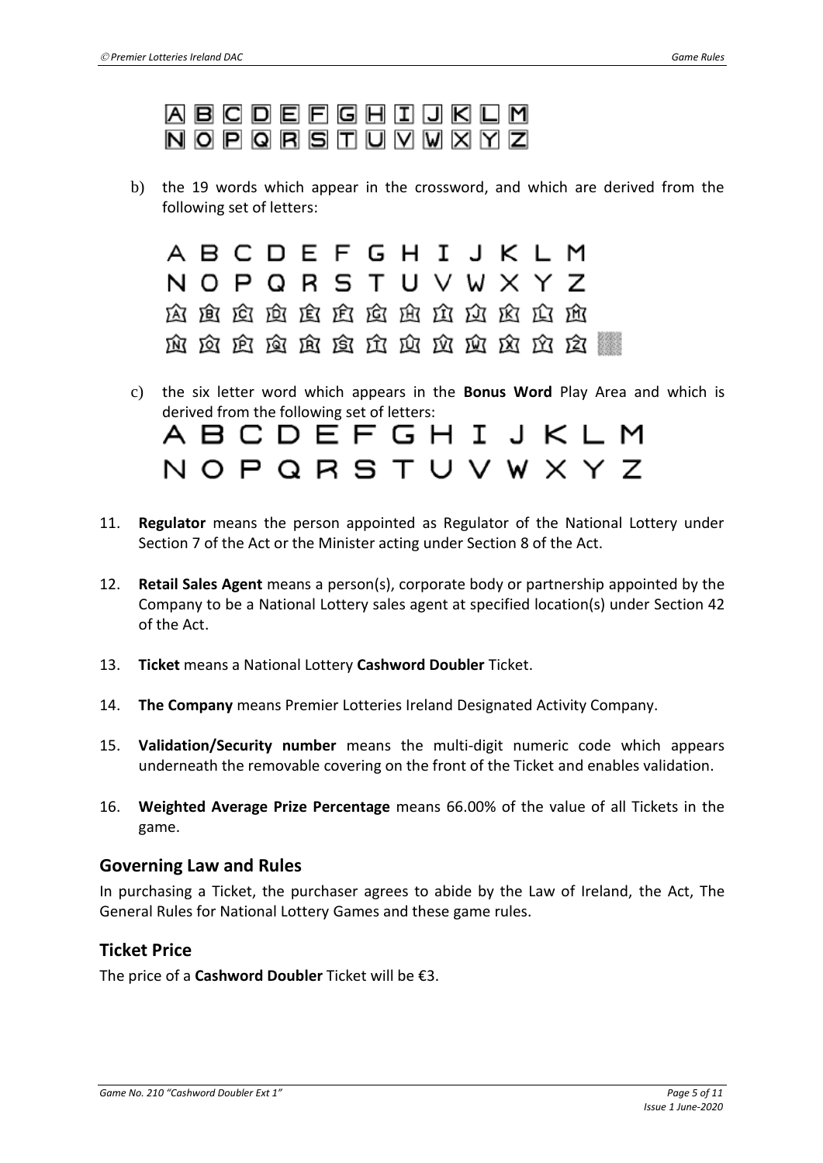

b) the 19 words which appear in the crossword, and which are derived from the following set of letters:

|  |  | ABCDEFGHIJKLM             |  |  |  |  |  |
|--|--|---------------------------|--|--|--|--|--|
|  |  | N O P Q R S T U V W X Y Z |  |  |  |  |  |
|  |  | 商店商店商店商店商店商店              |  |  |  |  |  |
|  |  | 应应应应应应应应应应应应应             |  |  |  |  |  |

c) the six letter word which appears in the **Bonus Word** Play Area and which is derived from the following set of letters:

|  |  |  |  | ABCDEFGHIJKLM             |  |  |
|--|--|--|--|---------------------------|--|--|
|  |  |  |  | N O P Q R S T U V W X Y Z |  |  |

- 11. **Regulator** means the person appointed as Regulator of the National Lottery under Section 7 of the Act or the Minister acting under Section 8 of the Act.
- 12. **Retail Sales Agent** means a person(s), corporate body or partnership appointed by the Company to be a National Lottery sales agent at specified location(s) under Section 42 of the Act.
- 13. **Ticket** means a National Lottery **Cashword Doubler** Ticket.
- 14. **The Company** means Premier Lotteries Ireland Designated Activity Company.
- 15. **Validation/Security number** means the multi-digit numeric code which appears underneath the removable covering on the front of the Ticket and enables validation.
- 16. **Weighted Average Prize Percentage** means 66.00% of the value of all Tickets in the game.

#### **Governing Law and Rules**

In purchasing a Ticket, the purchaser agrees to abide by the Law of Ireland, the Act, The General Rules for National Lottery Games and these game rules.

#### **Ticket Price**

The price of a **Cashword Doubler** Ticket will be €3.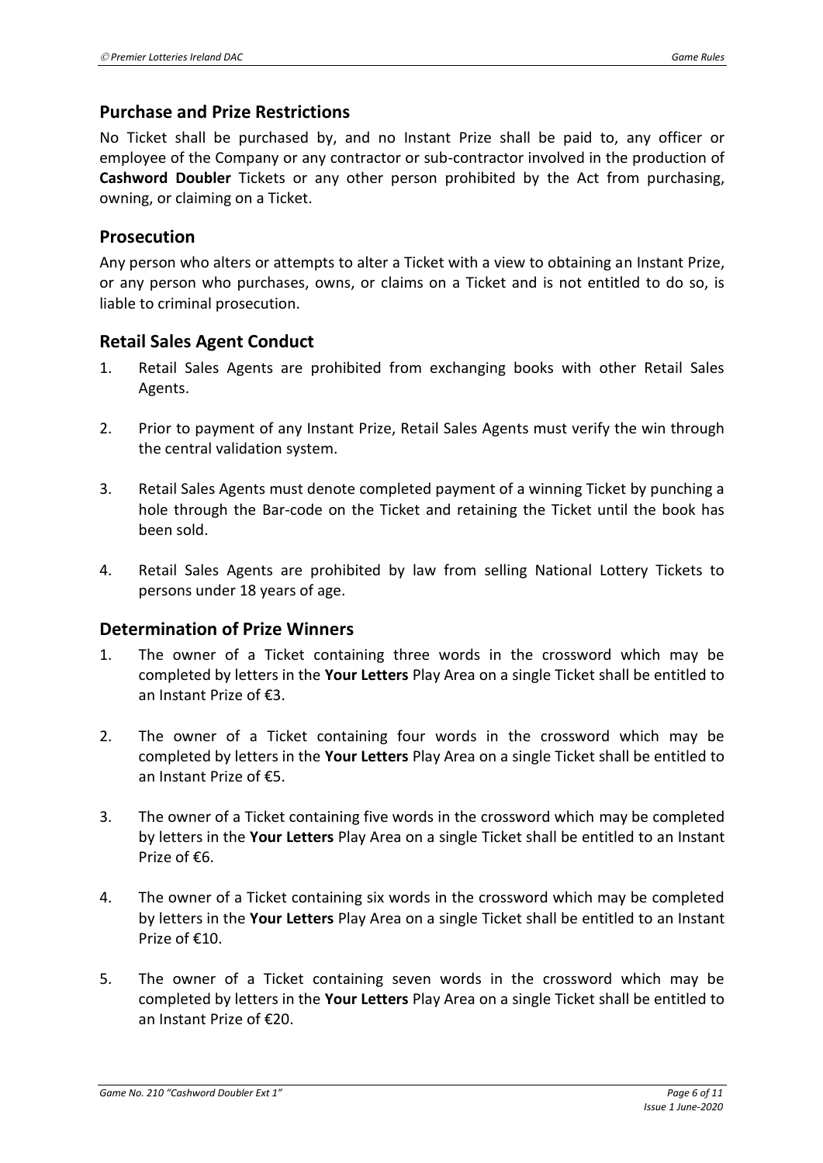#### **Purchase and Prize Restrictions**

No Ticket shall be purchased by, and no Instant Prize shall be paid to, any officer or employee of the Company or any contractor or sub-contractor involved in the production of **Cashword Doubler** Tickets or any other person prohibited by the Act from purchasing, owning, or claiming on a Ticket.

#### **Prosecution**

Any person who alters or attempts to alter a Ticket with a view to obtaining an Instant Prize, or any person who purchases, owns, or claims on a Ticket and is not entitled to do so, is liable to criminal prosecution.

#### **Retail Sales Agent Conduct**

- 1. Retail Sales Agents are prohibited from exchanging books with other Retail Sales Agents.
- 2. Prior to payment of any Instant Prize, Retail Sales Agents must verify the win through the central validation system.
- 3. Retail Sales Agents must denote completed payment of a winning Ticket by punching a hole through the Bar-code on the Ticket and retaining the Ticket until the book has been sold.
- 4. Retail Sales Agents are prohibited by law from selling National Lottery Tickets to persons under 18 years of age.

#### **Determination of Prize Winners**

- 1. The owner of a Ticket containing three words in the crossword which may be completed by letters in the **Your Letters** Play Area on a single Ticket shall be entitled to an Instant Prize of €3.
- 2. The owner of a Ticket containing four words in the crossword which may be completed by letters in the **Your Letters** Play Area on a single Ticket shall be entitled to an Instant Prize of €5.
- 3. The owner of a Ticket containing five words in the crossword which may be completed by letters in the **Your Letters** Play Area on a single Ticket shall be entitled to an Instant Prize of €6.
- 4. The owner of a Ticket containing six words in the crossword which may be completed by letters in the **Your Letters** Play Area on a single Ticket shall be entitled to an Instant Prize of €10.
- 5. The owner of a Ticket containing seven words in the crossword which may be completed by letters in the **Your Letters** Play Area on a single Ticket shall be entitled to an Instant Prize of €20.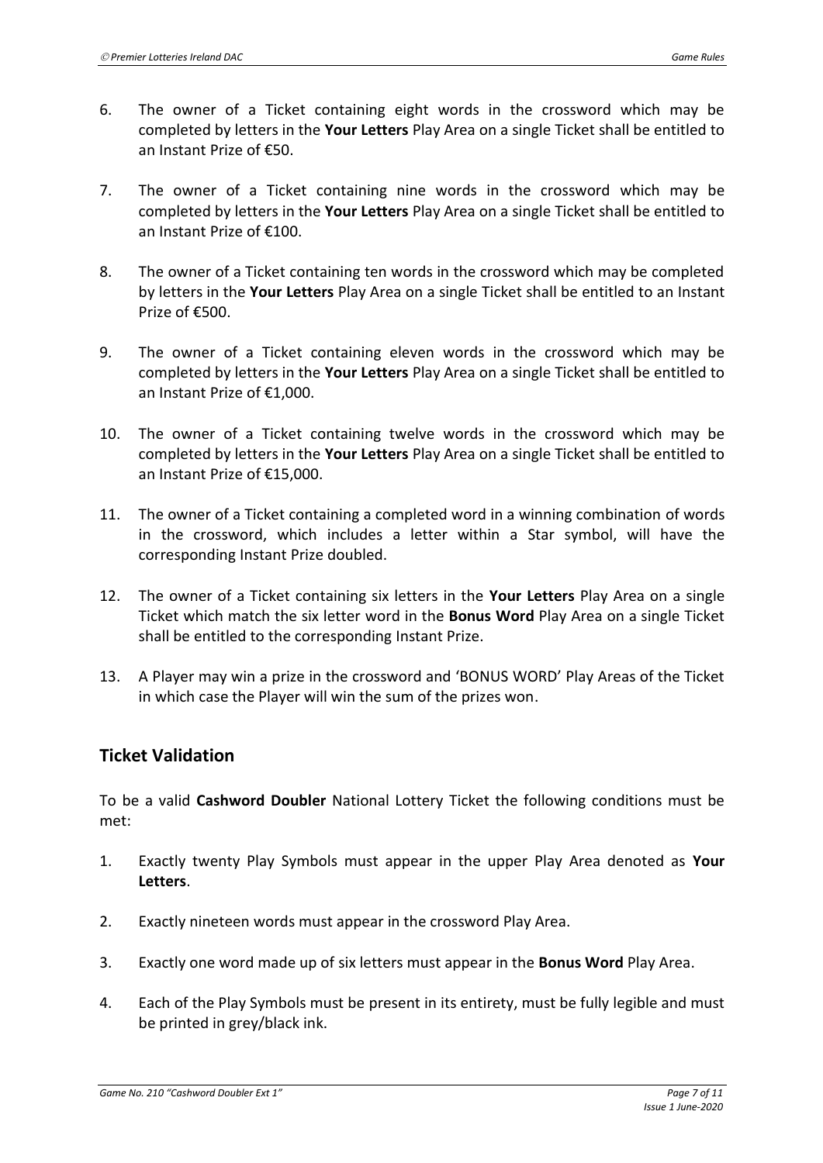- 6. The owner of a Ticket containing eight words in the crossword which may be completed by letters in the **Your Letters** Play Area on a single Ticket shall be entitled to an Instant Prize of €50.
- 7. The owner of a Ticket containing nine words in the crossword which may be completed by letters in the **Your Letters** Play Area on a single Ticket shall be entitled to an Instant Prize of €100.
- 8. The owner of a Ticket containing ten words in the crossword which may be completed by letters in the **Your Letters** Play Area on a single Ticket shall be entitled to an Instant Prize of €500.
- 9. The owner of a Ticket containing eleven words in the crossword which may be completed by letters in the **Your Letters** Play Area on a single Ticket shall be entitled to an Instant Prize of €1,000.
- 10. The owner of a Ticket containing twelve words in the crossword which may be completed by letters in the **Your Letters** Play Area on a single Ticket shall be entitled to an Instant Prize of €15,000.
- 11. The owner of a Ticket containing a completed word in a winning combination of words in the crossword, which includes a letter within a Star symbol, will have the corresponding Instant Prize doubled.
- 12. The owner of a Ticket containing six letters in the **Your Letters** Play Area on a single Ticket which match the six letter word in the **Bonus Word** Play Area on a single Ticket shall be entitled to the corresponding Instant Prize.
- 13. A Player may win a prize in the crossword and 'BONUS WORD' Play Areas of the Ticket in which case the Player will win the sum of the prizes won.

### **Ticket Validation**

To be a valid **Cashword Doubler** National Lottery Ticket the following conditions must be met:

- 1. Exactly twenty Play Symbols must appear in the upper Play Area denoted as **Your Letters**.
- 2. Exactly nineteen words must appear in the crossword Play Area.
- 3. Exactly one word made up of six letters must appear in the **Bonus Word** Play Area.
- 4. Each of the Play Symbols must be present in its entirety, must be fully legible and must be printed in grey/black ink.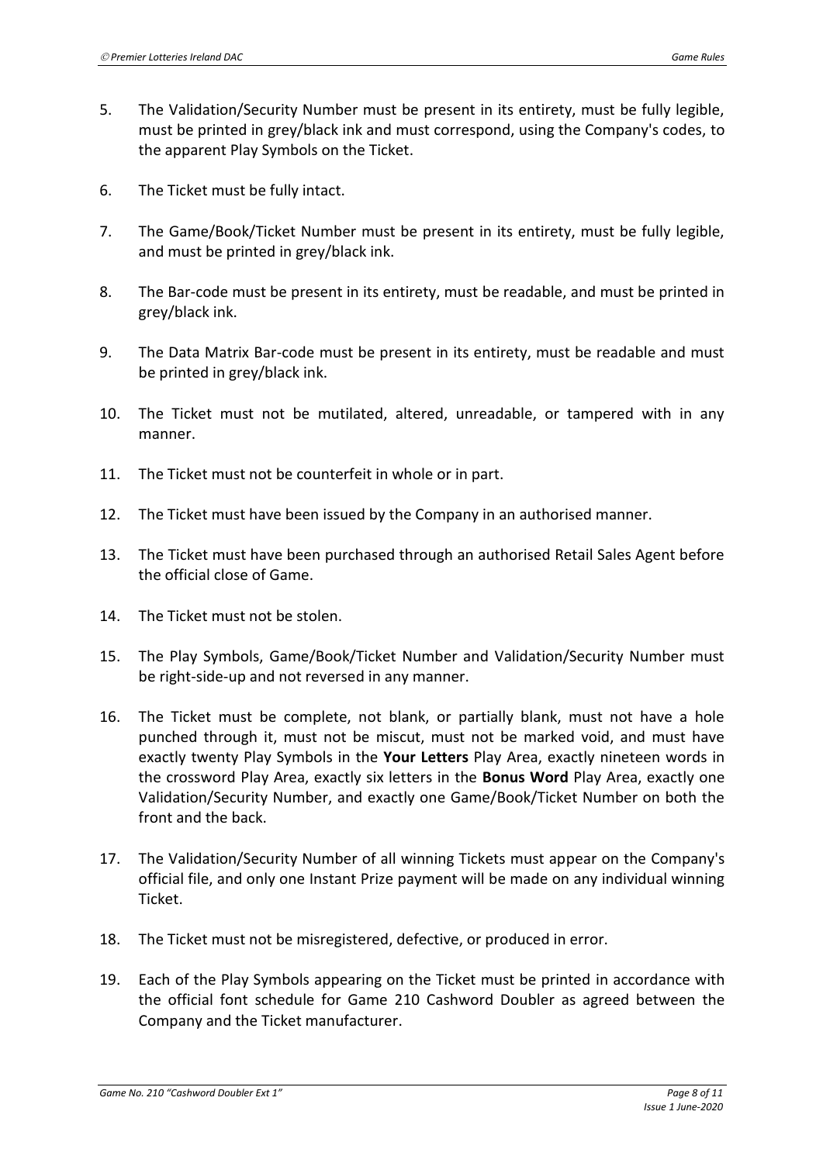- 5. The Validation/Security Number must be present in its entirety, must be fully legible, must be printed in grey/black ink and must correspond, using the Company's codes, to the apparent Play Symbols on the Ticket.
- 6. The Ticket must be fully intact.
- 7. The Game/Book/Ticket Number must be present in its entirety, must be fully legible, and must be printed in grey/black ink.
- 8. The Bar-code must be present in its entirety, must be readable, and must be printed in grey/black ink.
- 9. The Data Matrix Bar-code must be present in its entirety, must be readable and must be printed in grey/black ink.
- 10. The Ticket must not be mutilated, altered, unreadable, or tampered with in any manner.
- 11. The Ticket must not be counterfeit in whole or in part.
- 12. The Ticket must have been issued by the Company in an authorised manner.
- 13. The Ticket must have been purchased through an authorised Retail Sales Agent before the official close of Game.
- 14. The Ticket must not be stolen.
- 15. The Play Symbols, Game/Book/Ticket Number and Validation/Security Number must be right-side-up and not reversed in any manner.
- 16. The Ticket must be complete, not blank, or partially blank, must not have a hole punched through it, must not be miscut, must not be marked void, and must have exactly twenty Play Symbols in the **Your Letters** Play Area, exactly nineteen words in the crossword Play Area, exactly six letters in the **Bonus Word** Play Area, exactly one Validation/Security Number, and exactly one Game/Book/Ticket Number on both the front and the back.
- 17. The Validation/Security Number of all winning Tickets must appear on the Company's official file, and only one Instant Prize payment will be made on any individual winning Ticket.
- 18. The Ticket must not be misregistered, defective, or produced in error.
- 19. Each of the Play Symbols appearing on the Ticket must be printed in accordance with the official font schedule for Game 210 Cashword Doubler as agreed between the Company and the Ticket manufacturer.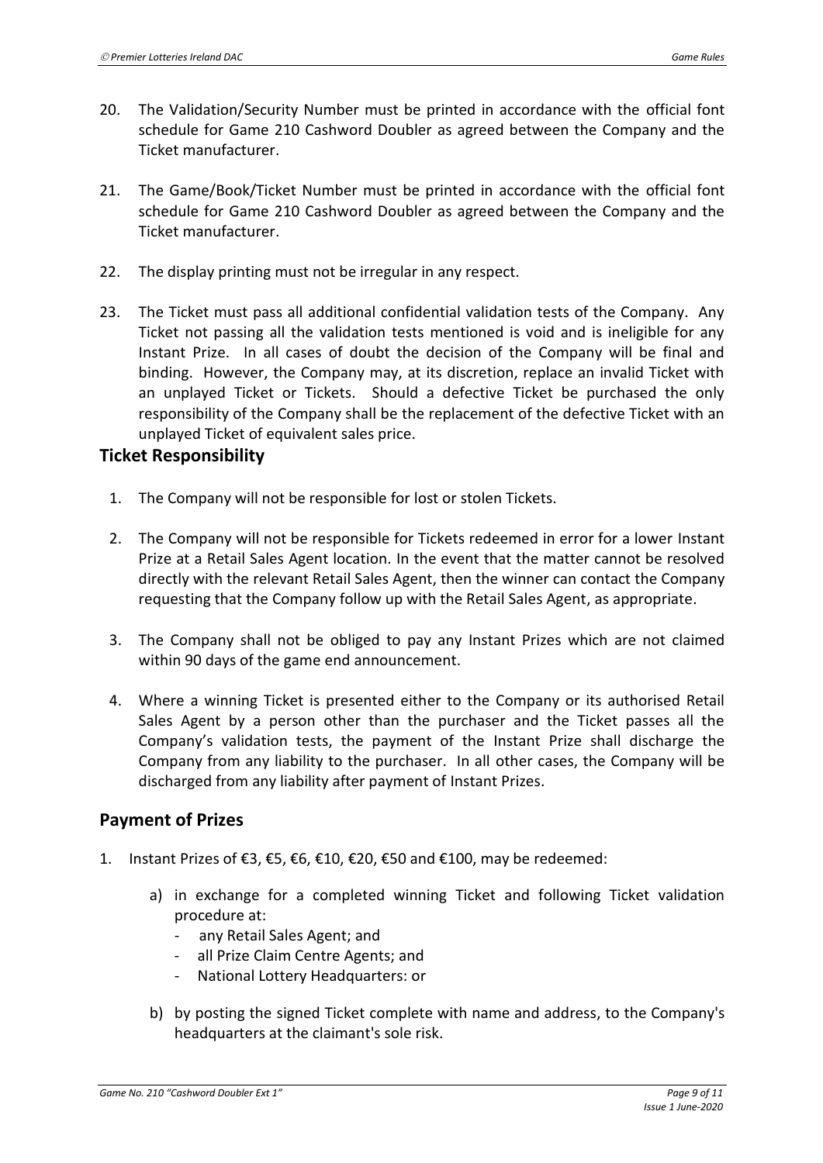- 20. The Validation/Security Number must be printed in accordance with the official font schedule for Game 210 Cashword Doubler as agreed between the Company and the Ticket manufacturer.
- 21. The Game/Book/Ticket Number must be printed in accordance with the official font schedule for Game 210 Cashword Doubler as agreed between the Company and the Ticket manufacturer.
- 22. The display printing must not be irregular in any respect.
- 23. The Ticket must pass all additional confidential validation tests of the Company. Any Ticket not passing all the validation tests mentioned is void and is ineligible for any Instant Prize. In all cases of doubt the decision of the Company will be final and binding. However, the Company may, at its discretion, replace an invalid Ticket with an unplayed Ticket or Tickets. Should a defective Ticket be purchased the only responsibility of the Company shall be the replacement of the defective Ticket with an unplayed Ticket of equivalent sales price.

#### **Ticket Responsibility**

- 1. The Company will not be responsible for lost or stolen Tickets.
- 2. The Company will not be responsible for Tickets redeemed in error for a lower Instant Prize at a Retail Sales Agent location. In the event that the matter cannot be resolved directly with the relevant Retail Sales Agent, then the winner can contact the Company requesting that the Company follow up with the Retail Sales Agent, as appropriate.
- 3. The Company shall not be obliged to pay any Instant Prizes which are not claimed within 90 days of the game end announcement.
- 4. Where a winning Ticket is presented either to the Company or its authorised Retail Sales Agent by a person other than the purchaser and the Ticket passes all the Company's validation tests, the payment of the Instant Prize shall discharge the Company from any liability to the purchaser. In all other cases, the Company will be discharged from any liability after payment of Instant Prizes.

#### **Payment of Prizes**

- 1. Instant Prizes of €3, €5, €6, €10, €20, €50 and €100, may be redeemed:
	- a) in exchange for a completed winning Ticket and following Ticket validation procedure at:
		- any Retail Sales Agent; and
		- all Prize Claim Centre Agents; and
		- National Lottery Headquarters: or
	- b) by posting the signed Ticket complete with name and address, to the Company's headquarters at the claimant's sole risk.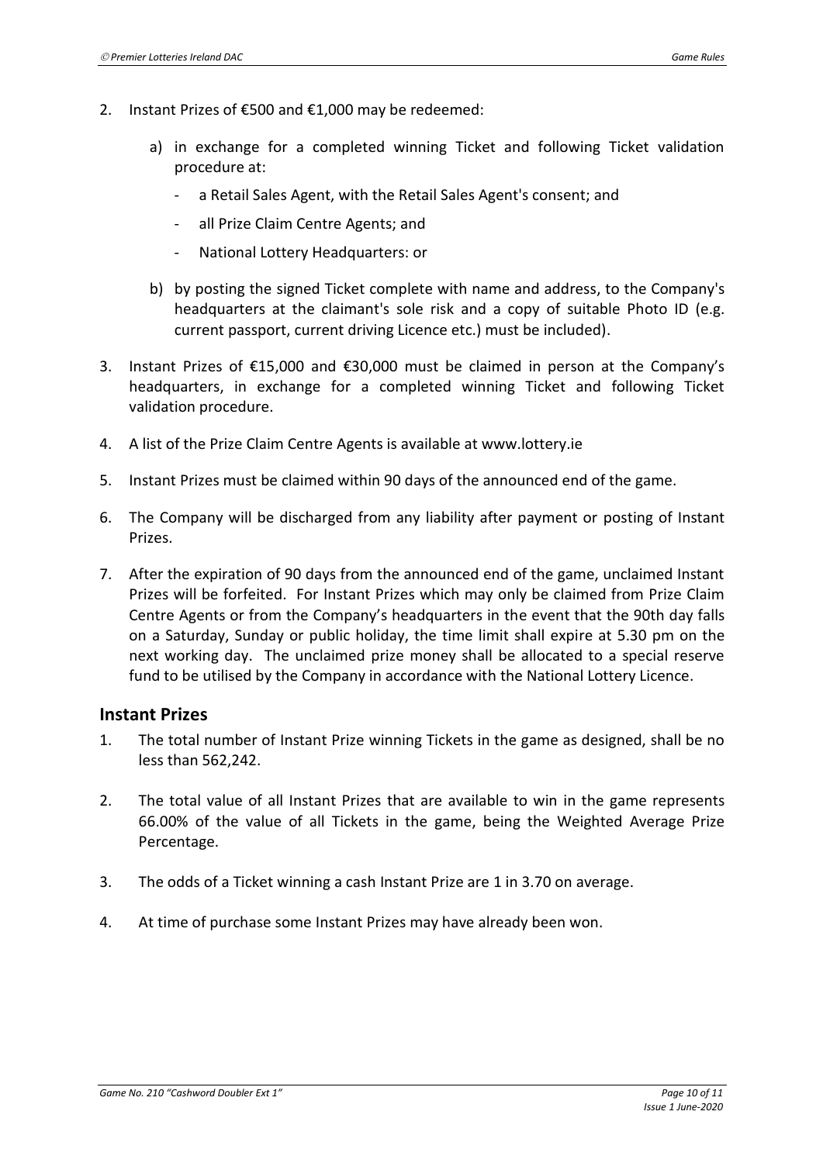- 2. Instant Prizes of €500 and €1,000 may be redeemed:
	- a) in exchange for a completed winning Ticket and following Ticket validation procedure at:
		- a Retail Sales Agent, with the Retail Sales Agent's consent; and
		- all Prize Claim Centre Agents; and
		- National Lottery Headquarters: or
	- b) by posting the signed Ticket complete with name and address, to the Company's headquarters at the claimant's sole risk and a copy of suitable Photo ID (e.g. current passport, current driving Licence etc.) must be included).
- 3. Instant Prizes of €15,000 and €30,000 must be claimed in person at the Company's headquarters, in exchange for a completed winning Ticket and following Ticket validation procedure.
- 4. A list of the Prize Claim Centre Agents is available at www.lottery.ie
- 5. Instant Prizes must be claimed within 90 days of the announced end of the game.
- 6. The Company will be discharged from any liability after payment or posting of Instant Prizes.
- 7. After the expiration of 90 days from the announced end of the game, unclaimed Instant Prizes will be forfeited. For Instant Prizes which may only be claimed from Prize Claim Centre Agents or from the Company's headquarters in the event that the 90th day falls on a Saturday, Sunday or public holiday, the time limit shall expire at 5.30 pm on the next working day. The unclaimed prize money shall be allocated to a special reserve fund to be utilised by the Company in accordance with the National Lottery Licence.

#### **Instant Prizes**

- 1. The total number of Instant Prize winning Tickets in the game as designed, shall be no less than 562,242.
- 2. The total value of all Instant Prizes that are available to win in the game represents 66.00% of the value of all Tickets in the game, being the Weighted Average Prize Percentage.
- 3. The odds of a Ticket winning a cash Instant Prize are 1 in 3.70 on average.
- 4. At time of purchase some Instant Prizes may have already been won.